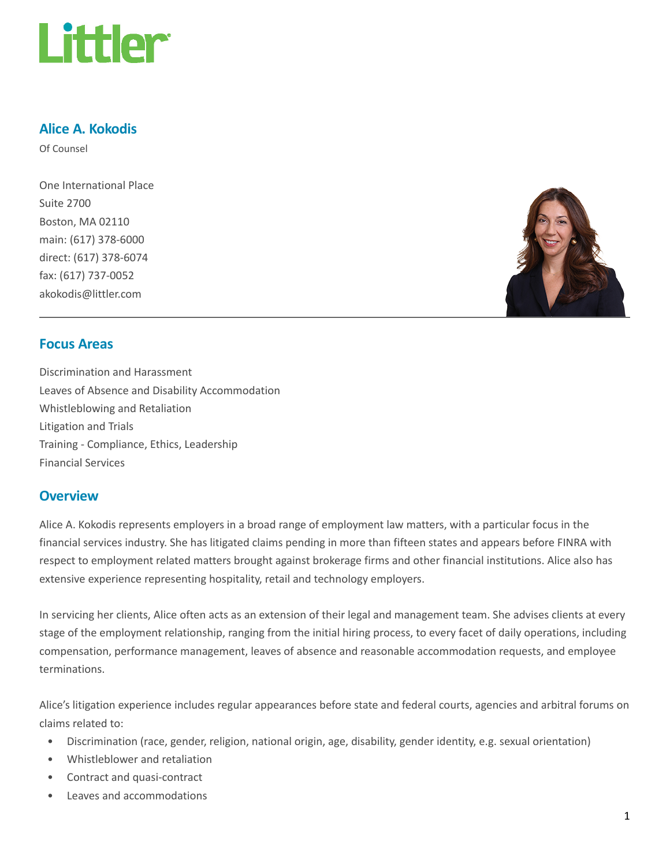

### Alice A. Kokodis

Of Counsel

One International Place Suite 2700 Boston, MA 02110 main: (617) 378-6000 direct: (617) 378-6074 fax: (617) 737-0052 akokodis@littler.com



### Focus Areas

Discrimination and Harassment Leaves of Absence and Disability Accommodation Whistleblowing and Retaliation Litigation and Trials Training - Compliance, Ethics, Leadership Financial Services

### **Overview**

Alice A. Kokodis represents employers in a broad range of employment law matters, with a particular focus in the financial services industry. She has litigated claims pending in more than fifteen states and appears before FINRA with respect to employment related matters brought against brokerage firms and other financial institutions. Alice also has extensive experience representing hospitality, retail and technology employers.

In servicing her clients, Alice often acts as an extension of their legal and management team. She advises clients at every stage of the employment relationship, ranging from the initial hiring process, to every facet of daily operations, including compensation, performance management, leaves of absence and reasonable accommodation requests, and employee terminations.

Alice's litigation experience includes regular appearances before state and federal courts, agencies and arbitral forums on claims related to:

- Discrimination (race, gender, religion, national origin, age, disability, gender identity, e.g. sexual orientation)
- Whistleblower and retaliation
- Contract and quasi-contract
- Leaves and accommodations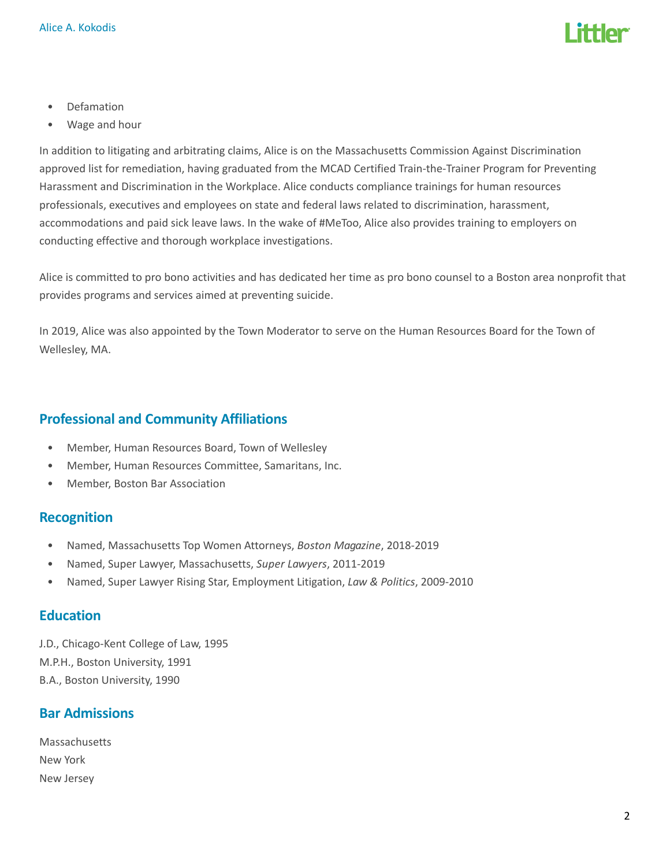

- Defamation
- Wage and hour

In addition to litigating and arbitrating claims, Alice is on the Massachusetts Commission Against Discrimination approved list for remediation, having graduated from the MCAD Certified Train-the-Trainer Program for Preventing Harassment and Discrimination in the Workplace. Alice conducts compliance trainings for human resources professionals, executives and employees on state and federal laws related to discrimination, harassment, accommodations and paid sick leave laws. In the wake of #MeToo, Alice also provides training to employers on conducting effective and thorough workplace investigations.

Alice is committed to pro bono activities and has dedicated her time as pro bono counsel to a Boston area nonprofit that provides programs and services aimed at preventing suicide.

In 2019, Alice was also appointed by the Town Moderator to serve on the Human Resources Board for the Town of Wellesley, MA.

# Professional and Community Affiliations

- Member, Human Resources Board, Town of Wellesley
- Member, Human Resources Committee, Samaritans, Inc.
- Member, Boston Bar Association

### **Recognition**

- Named, Massachusetts Top Women Attorneys, Boston Magazine, 2018-2019
- Named, Super Lawyer, Massachusetts, Super Lawyers, 2011-2019
- Named, Super Lawyer Rising Star, Employment Litigation, Law & Politics, 2009-2010

#### **Education**

J.D., Chicago-Kent College of Law, 1995 M.P.H., Boston University, 1991 B.A., Boston University, 1990

### Bar Admissions

Massachusetts New York New Jersey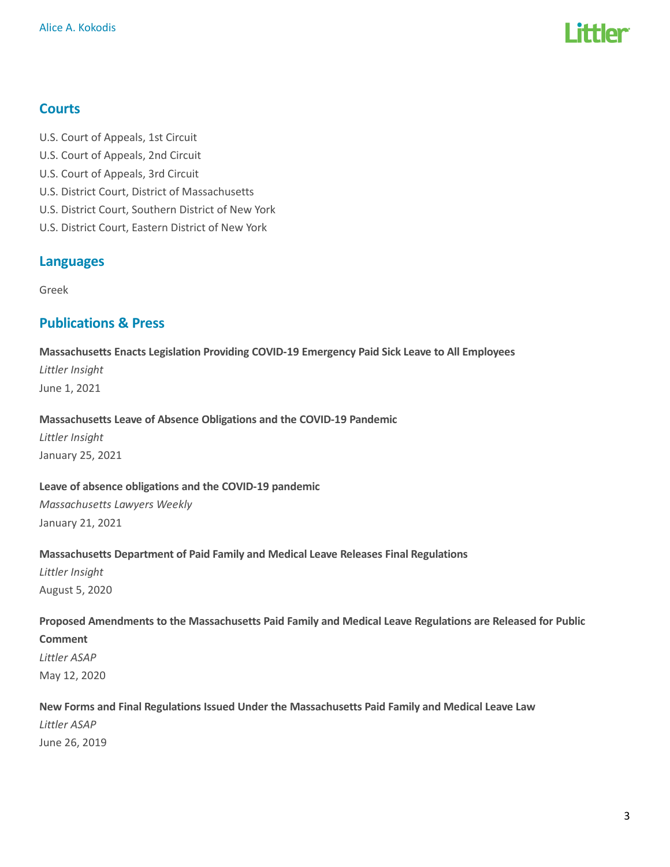

# **Courts**

U.S. Court of Appeals, 1st Circuit U.S. Court of Appeals, 2nd Circuit U.S. Court of Appeals, 3rd Circuit U.S. District Court, District of Massachusetts U.S. District Court, Southern District of New York U.S. District Court, Eastern District of New York

### Languages

Greek

# Publications & Press

Massachusetts Enacts Legislation Providing COVID-19 Emergency Paid Sick Leave to All Employees Littler Insight June 1, 2021

#### Massachusetts Leave of Absence Obligations and the COVID-19 Pandemic

Littler Insight January 25, 2021

#### Leave of absence obligations and the COVID-19 pandemic

Massachusetts Lawyers Weekly January 21, 2021

#### Massachusetts Department of Paid Family and Medical Leave Releases Final Regulations

Littler Insight August 5, 2020

#### Proposed Amendments to the Massachusetts Paid Family and Medical Leave Regulations are Released for Public

Comment

Littler ASAP May 12, 2020

#### New Forms and Final Regulations Issued Under the Massachusetts Paid Family and Medical Leave Law

Littler ASAP June 26, 2019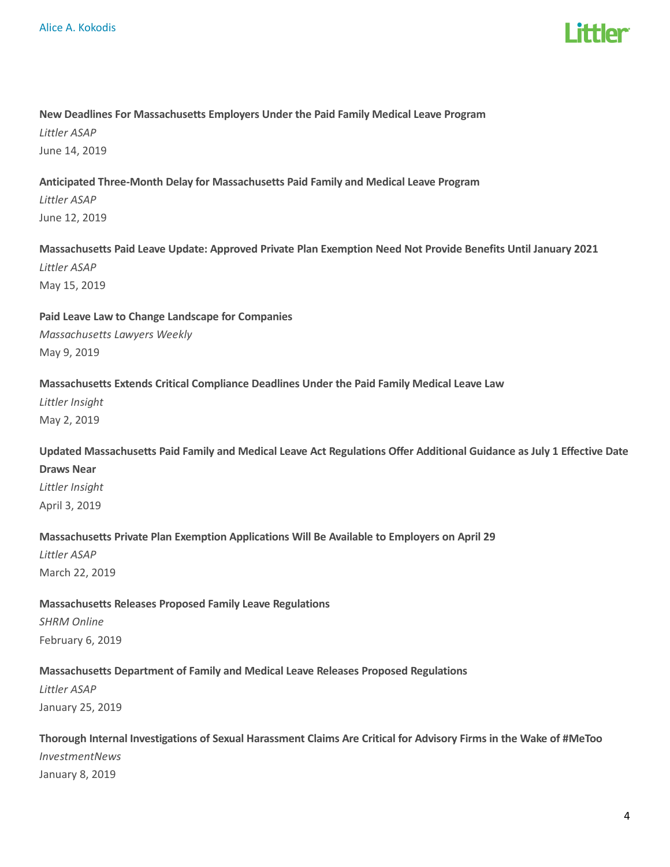

#### New Deadlines For Massachusetts Employers Under the Paid Family Medical Leave Program

Littler ASAP June 14, 2019

#### Anticipated Three-Month Delay for Massachusetts Paid Family and Medical Leave Program

Littler ASAP June 12, 2019

### Massachusetts Paid Leave Update: Approved Private Plan Exemption Need Not Provide Benefits Until January 2021 Littler ASAP May 15, 2019

Paid Leave Law to Change Landscape for Companies Massachusetts Lawyers Weekly May 9, 2019

#### Massachusetts Extends Critical Compliance Deadlines Under the Paid Family Medical Leave Law

Littler Insight May 2, 2019

Updated Massachusetts Paid Family and Medical Leave Act Regulations Offer Additional Guidance as July 1 Effective Date

# Draws Near Littler Insight April 3, 2019

#### Massachusetts Private Plan Exemption Applications Will Be Available to Employers on April 29

Littler ASAP March 22, 2019

### Massachusetts Releases Proposed Family Leave Regulations

SHRM Online February 6, 2019

### Massachusetts Department of Family and Medical Leave Releases Proposed Regulations

Littler ASAP January 25, 2019

# Thorough Internal Investigations of Sexual Harassment Claims Are Critical for Advisory Firms in the Wake of #MeToo

InvestmentNews January 8, 2019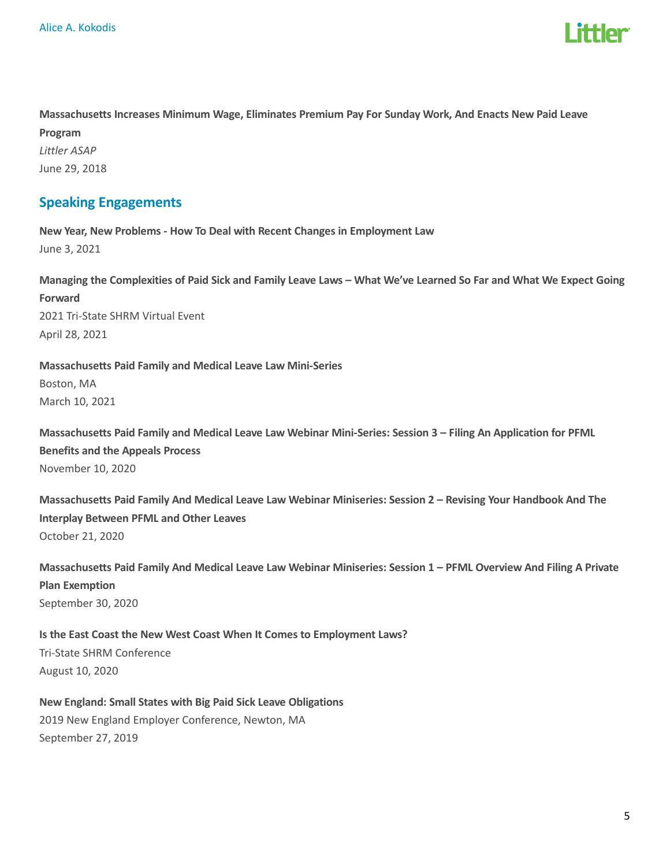

Massachusetts Increases Minimum Wage, Eliminates Premium Pay For Sunday Work, And Enacts New Paid Leave Program Littler ASAP June 29, 2018

# Speaking Engagements

New Year, New Problems - How To Deal with Recent Changes in Employment Law June 3, 2021

Managing the Complexities of Paid Sick and Family Leave Laws – What We've Learned So Far and What We Expect Going Forward 2021 Tri-State SHRM Virtual Event April 28, 2021

Massachusetts Paid Family and Medical Leave Law Mini-Series Boston, MA March 10, 2021

Massachusetts Paid Family and Medical Leave Law Webinar Mini-Series: Session 3 – Filing An Application for PFML Benefits and the Appeals Process November 10, 2020

Massachusetts Paid Family And Medical Leave Law Webinar Miniseries: Session 2 – Revising Your Handbook And The Interplay Between PFML and Other Leaves October 21, 2020

Massachusetts Paid Family And Medical Leave Law Webinar Miniseries: Session 1 – PFML Overview And Filing A Private Plan Exemption September 30, 2020

Is the East Coast the New West Coast When It Comes to Employment Laws? Tri-State SHRM Conference August 10, 2020

New England: Small States with Big Paid Sick Leave Obligations 2019 New England Employer Conference, Newton, MA September 27, 2019